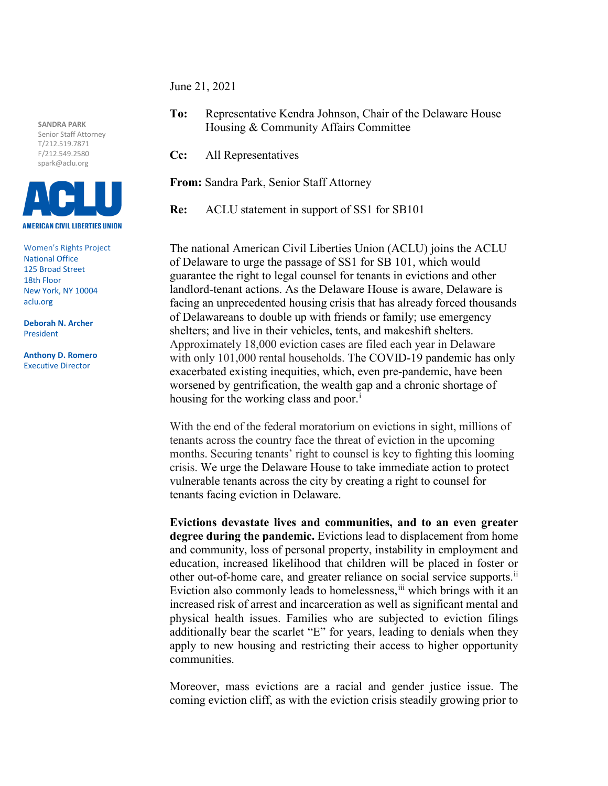June 21, 2021

**SANDRA PARK**  Senior Staff Attorney T/212.519.7871 F/212.549.2580 spark@aclu.org



Women's Rights Project National Office 125 Broad Street 18th Floor New York, NY 10004 aclu.org

**Deborah N. Archer** President

**Anthony D. Romero** Executive Director

**To:** Representative Kendra Johnson, Chair of the Delaware House Housing & Community Affairs Committee

**Cc:** All Representatives

**From:** Sandra Park, Senior Staff Attorney

**Re:** ACLU statement in support of SS1 for SB101

The national American Civil Liberties Union (ACLU) joins the ACLU of Delaware to urge the passage of SS1 for SB 101, which would guarantee the right to legal counsel for tenants in evictions and other landlord-tenant actions. As the Delaware House is aware, Delaware is facing an unprecedented housing crisis that has already forced thousands of Delawareans to double up with friends or family; use emergency shelters; and live in their vehicles, tents, and makeshift shelters. Approximately 18,000 eviction cases are filed each year in Delaware with only 101,000 rental households. The COVID-19 pandemic has only exacerbated existing inequities, which, even pre-pandemic, have been worsened by gentrification, the wealth gap and a chronic shortage of hous[i](#page-1-0)ng for the working class and poor.<sup>i</sup>

With the end of the federal moratorium on evictions in sight, millions of tenants across the country face the threat of eviction in the upcoming months. Securing tenants' right to counsel is key to fighting this looming crisis. We urge the Delaware House to take immediate action to protect vulnerable tenants across the city by creating a right to counsel for tenants facing eviction in Delaware.

**Evictions devastate lives and communities, and to an even greater degree during the pandemic.** Evictions lead to displacement from home and community, loss of personal property, instability in employment and education, increased likelihood that children will be placed in foster or other out-of-home care, and greater reliance on social service supports.<sup>[ii](#page-1-1)</sup> Eviction also commonly leads to homelessness, in which brings with it an increased risk of arrest and incarceration as well as significant mental and physical health issues. Families who are subjected to eviction filings additionally bear the scarlet "E" for years, leading to denials when they apply to new housing and restricting their access to higher opportunity communities.

Moreover, mass evictions are a racial and gender justice issue. The coming eviction cliff, as with the eviction crisis steadily growing prior to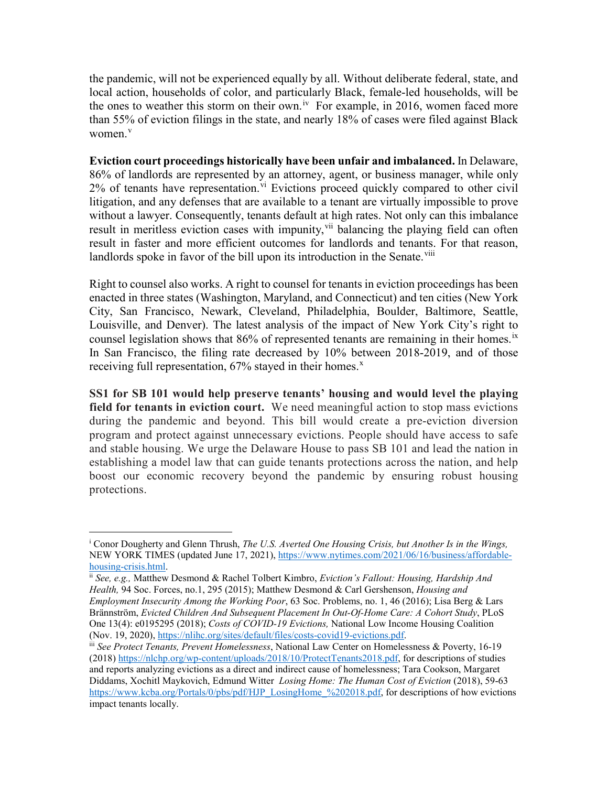the pandemic, will not be experienced equally by all. Without deliberate federal, state, and local action, households of color, and particularly Black, female-led households, will be the ones to weather this storm on their own.<sup>[iv](#page-2-0)</sup> For example, in 2016, women faced more than 55% of eviction filings in the state, and nearly 18% of cases were filed against Black women.<sup>[v](#page-2-1)</sup>

**Eviction court proceedings historically have been unfair and imbalanced.** In Delaware, 86% of landlords are represented by an attorney, agent, or business manager, while only 2% of tenants have representation.<sup>[vi](#page-2-2)</sup> Evictions proceed quickly compared to other civil litigation, and any defenses that are available to a tenant are virtually impossible to prove without a lawyer. Consequently, tenants default at high rates. Not only can this imbalance result in meritless eviction cases with impunity, <sup>[vii](#page-2-3)</sup> balancing the playing field can often result in faster and more efficient outcomes for landlords and tenants. For that reason, landlords spoke in favor of the bill upon its introduction in the Senate.<sup>[viii](#page-2-4)</sup>

Right to counsel also works. A right to counsel for tenants in eviction proceedings has been enacted in three states (Washington, Maryland, and Connecticut) and ten cities (New York City, San Francisco, Newark, Cleveland, Philadelphia, Boulder, Baltimore, Seattle, Louisville, and Denver). The latest analysis of the impact of New York City's right to counsel legislation shows that  $86\%$  of represented tenants are remaining in their homes.<sup>[ix](#page-2-5)</sup> In San Francisco, the filing rate decreased by 10% between 2018-2019, and of those receiving full representation,  $67\%$  stayed in their homes.<sup>[x](#page-2-6)</sup>

**SS1 for SB 101 would help preserve tenants' housing and would level the playing field for tenants in eviction court.** We need meaningful action to stop mass evictions during the pandemic and beyond. This bill would create a pre-eviction diversion program and protect against unnecessary evictions. People should have access to safe and stable housing. We urge the Delaware House to pass SB 101 and lead the nation in establishing a model law that can guide tenants protections across the nation, and help boost our economic recovery beyond the pandemic by ensuring robust housing protections.

 $\overline{a}$ 

<span id="page-1-0"></span><sup>i</sup> Conor Dougherty and Glenn Thrush, *The U.S. Averted One Housing Crisis, but Another Is in the Wings,*  NEW YORK TIMES (updated June 17, 2021), [https://www.nytimes.com/2021/06/16/business/affordable](https://www.nytimes.com/2021/06/16/business/affordable-housing-crisis.html)[housing-crisis.html.](https://www.nytimes.com/2021/06/16/business/affordable-housing-crisis.html) ii *See, e.g.,* Matthew Desmond & Rachel Tolbert Kimbro, *Eviction's Fallout: Housing, Hardship And* 

<span id="page-1-1"></span>*Health,* 94 Soc. Forces, no.1, 295 (2015); Matthew Desmond & Carl Gershenson, *Housing and Employment Insecurity Among the Working Poor*, 63 Soc. Problems, no. 1, 46 (2016); Lisa Berg & Lars Brännström, *Evicted Children And Subsequent Placement In Out-Of-Home Care: A Cohort Study*, PLoS One 13(4): e0195295 (2018); *Costs of COVID-19 Evictions*, National Low Income Housing Coalition (Nov. 19, 2020), https://nlihc.org/sites/default/files/costs-covid19-evictions.pdf.

<span id="page-1-2"></span><sup>&</sup>lt;sup>iii</sup> See Protect Tenants, Prevent Homelessness, National Law Center on Homelessness & Poverty, 16-19 (2018) [https://nlchp.org/wp-content/uploads/2018/10/ProtectTenants2018.pdf,](https://nlchp.org/wp-content/uploads/2018/10/ProtectTenants2018.pdf) for descriptions of studies and reports analyzing evictions as a direct and indirect cause of homelessness; Tara Cookson, Margaret Diddams, Xochitl Maykovich, Edmund Witter *Losing Home: The Human Cost of Eviction* (2018), 59-63 [https://www.kcba.org/Portals/0/pbs/pdf/HJP\\_LosingHome\\_%202018.pdf,](https://www.kcba.org/Portals/0/pbs/pdf/HJP_LosingHome_%202018.pdf) for descriptions of how evictions impact tenants locally.